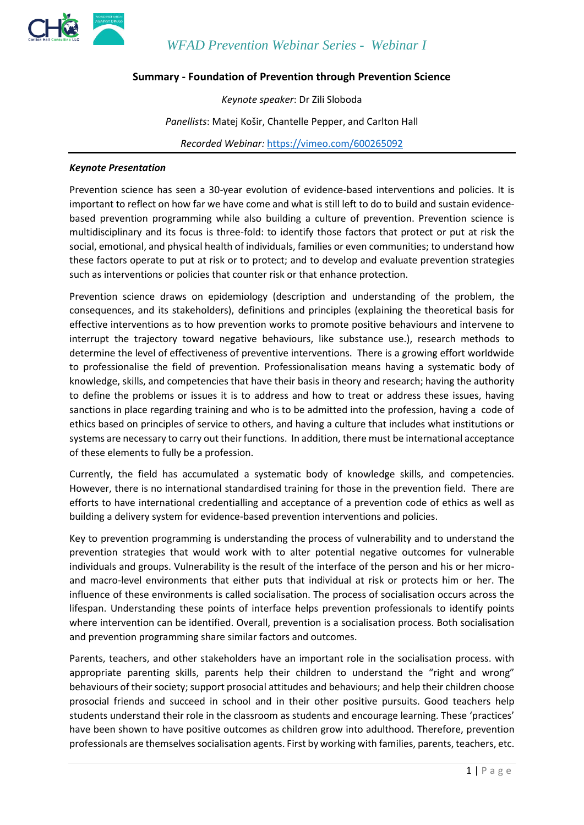

*WFAD Prevention Webinar Series - Webinar I*

#### **Summary - Foundation of Prevention through Prevention Science**

*Keynote speaker*: Dr Zili Sloboda

*Panellists*: Matej Košir, Chantelle Pepper, and Carlton Hall

*Recorded Webinar:* <https://vimeo.com/600265092>

#### *Keynote Presentation*

Prevention science has seen a 30-year evolution of evidence-based interventions and policies. It is important to reflect on how far we have come and what is still left to do to build and sustain evidencebased prevention programming while also building a culture of prevention. Prevention science is multidisciplinary and its focus is three-fold: to identify those factors that protect or put at risk the social, emotional, and physical health of individuals, families or even communities; to understand how these factors operate to put at risk or to protect; and to develop and evaluate prevention strategies such as interventions or policies that counter risk or that enhance protection.

Prevention science draws on epidemiology (description and understanding of the problem, the consequences, and its stakeholders), definitions and principles (explaining the theoretical basis for effective interventions as to how prevention works to promote positive behaviours and intervene to interrupt the trajectory toward negative behaviours, like substance use.), research methods to determine the level of effectiveness of preventive interventions. There is a growing effort worldwide to professionalise the field of prevention. Professionalisation means having a systematic body of knowledge, skills, and competencies that have their basis in theory and research; having the authority to define the problems or issues it is to address and how to treat or address these issues, having sanctions in place regarding training and who is to be admitted into the profession, having a code of ethics based on principles of service to others, and having a culture that includes what institutions or systems are necessary to carry out their functions. In addition, there must be international acceptance of these elements to fully be a profession.

Currently, the field has accumulated a systematic body of knowledge skills, and competencies. However, there is no international standardised training for those in the prevention field. There are efforts to have international credentialling and acceptance of a prevention code of ethics as well as building a delivery system for evidence-based prevention interventions and policies.

Key to prevention programming is understanding the process of vulnerability and to understand the prevention strategies that would work with to alter potential negative outcomes for vulnerable individuals and groups. Vulnerability is the result of the interface of the person and his or her microand macro-level environments that either puts that individual at risk or protects him or her. The influence of these environments is called socialisation. The process of socialisation occurs across the lifespan. Understanding these points of interface helps prevention professionals to identify points where intervention can be identified. Overall, prevention is a socialisation process. Both socialisation and prevention programming share similar factors and outcomes.

Parents, teachers, and other stakeholders have an important role in the socialisation process. with appropriate parenting skills, parents help their children to understand the "right and wrong" behaviours of their society; support prosocial attitudes and behaviours; and help their children choose prosocial friends and succeed in school and in their other positive pursuits. Good teachers help students understand their role in the classroom as students and encourage learning. These 'practices' have been shown to have positive outcomes as children grow into adulthood. Therefore, prevention professionals are themselves socialisation agents. First by working with families, parents, teachers, etc.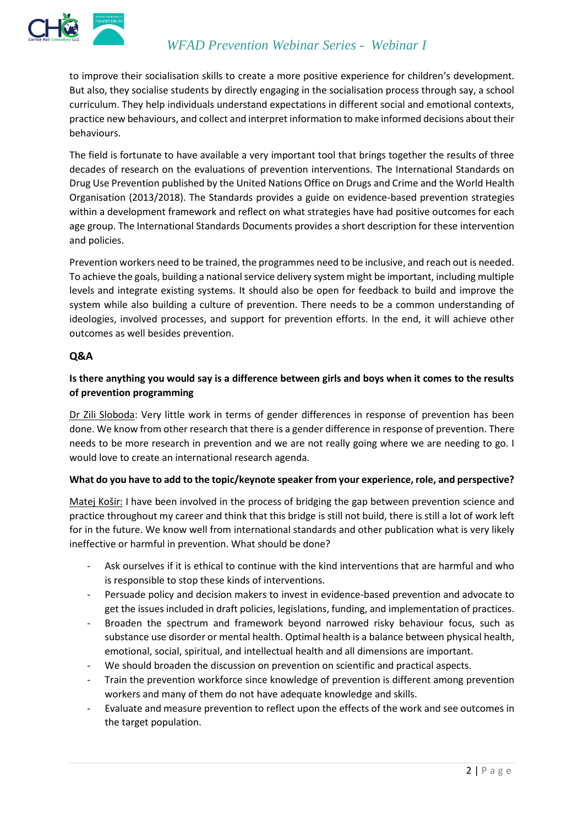

to improve their socialisation skills to create a more positive experience for children's development. But also, they socialise students by directly engaging in the socialisation process through say, a school curriculum. They help individuals understand expectations in different social and emotional contexts, practice new behaviours, and collect and interpret information to make informed decisions about their behaviours.

The field is fortunate to have available a very important tool that brings together the results of three decades of research on the evaluations of prevention interventions. The International Standards on Drug Use Prevention published by the United Nations Office on Drugs and Crime and the World Health Organisation (2013/2018). The Standards provides a guide on evidence-based prevention strategies within a development framework and reflect on what strategies have had positive outcomes for each age group. The International Standards Documents provides a short description for these intervention and policies.

Prevention workers need to be trained, the programmes need to be inclusive, and reach out is needed. To achieve the goals, building a national service delivery system might be important, including multiple levels and integrate existing systems. It should also be open for feedback to build and improve the system while also building a culture of prevention. There needs to be a common understanding of ideologies, involved processes, and support for prevention efforts. In the end, it will achieve other outcomes as well besides prevention.

## **Q&A**

# **Is there anything you would say is a difference between girls and boys when it comes to the results of prevention programming**

Dr Zili Sloboda: Very little work in terms of gender differences in response of prevention has been done. We know from other research that there is a gender difference in response of prevention. There needs to be more research in prevention and we are not really going where we are needing to go. I would love to create an international research agenda.

## **What do you have to add to the topic/keynote speaker from your experience, role, and perspective?**

Matej Košir: I have been involved in the process of bridging the gap between prevention science and practice throughout my career and think that this bridge is still not build, there is still a lot of work left for in the future. We know well from international standards and other publication what is very likely ineffective or harmful in prevention. What should be done?

- Ask ourselves if it is ethical to continue with the kind interventions that are harmful and who is responsible to stop these kinds of interventions.
- Persuade policy and decision makers to invest in evidence-based prevention and advocate to get the issues included in draft policies, legislations, funding, and implementation of practices.
- Broaden the spectrum and framework beyond narrowed risky behaviour focus, such as substance use disorder or mental health. Optimal health is a balance between physical health, emotional, social, spiritual, and intellectual health and all dimensions are important.
- We should broaden the discussion on prevention on scientific and practical aspects.
- Train the prevention workforce since knowledge of prevention is different among prevention workers and many of them do not have adequate knowledge and skills.
- Evaluate and measure prevention to reflect upon the effects of the work and see outcomes in the target population.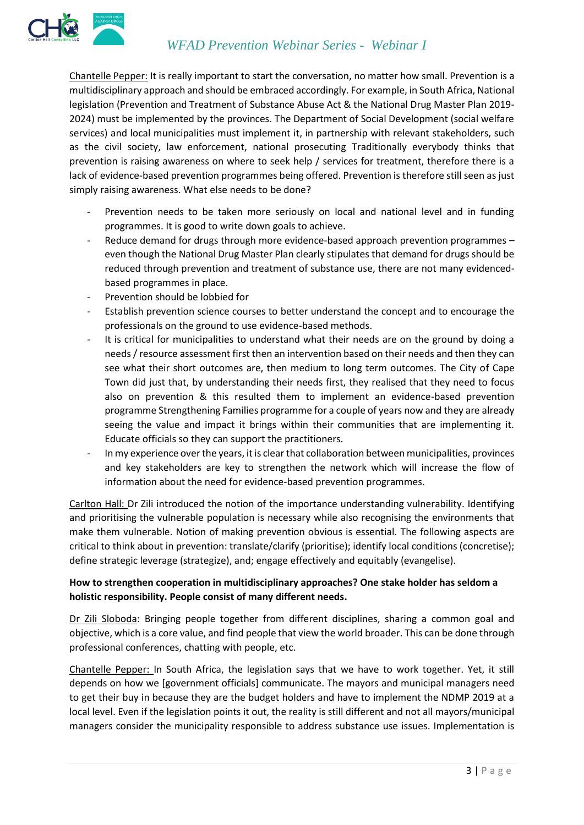

Chantelle Pepper: It is really important to start the conversation, no matter how small. Prevention is a multidisciplinary approach and should be embraced accordingly. For example, in South Africa, National legislation (Prevention and Treatment of Substance Abuse Act & the National Drug Master Plan 2019- 2024) must be implemented by the provinces. The Department of Social Development (social welfare services) and local municipalities must implement it, in partnership with relevant stakeholders, such as the civil society, law enforcement, national prosecuting Traditionally everybody thinks that prevention is raising awareness on where to seek help / services for treatment, therefore there is a lack of evidence-based prevention programmes being offered. Prevention is therefore still seen as just simply raising awareness. What else needs to be done?

- Prevention needs to be taken more seriously on local and national level and in funding programmes. It is good to write down goals to achieve.
- Reduce demand for drugs through more evidence-based approach prevention programmes even though the National Drug Master Plan clearly stipulates that demand for drugs should be reduced through prevention and treatment of substance use, there are not many evidencedbased programmes in place.
- Prevention should be lobbied for
- Establish prevention science courses to better understand the concept and to encourage the professionals on the ground to use evidence-based methods.
- It is critical for municipalities to understand what their needs are on the ground by doing a needs / resource assessment first then an intervention based on their needs and then they can see what their short outcomes are, then medium to long term outcomes. The City of Cape Town did just that, by understanding their needs first, they realised that they need to focus also on prevention & this resulted them to implement an evidence-based prevention programme Strengthening Families programme for a couple of years now and they are already seeing the value and impact it brings within their communities that are implementing it. Educate officials so they can support the practitioners.
- In my experience over the years, it is clear that collaboration between municipalities, provinces and key stakeholders are key to strengthen the network which will increase the flow of information about the need for evidence-based prevention programmes.

Carlton Hall: Dr Zili introduced the notion of the importance understanding vulnerability. Identifying and prioritising the vulnerable population is necessary while also recognising the environments that make them vulnerable. Notion of making prevention obvious is essential. The following aspects are critical to think about in prevention: translate/clarify (prioritise); identify local conditions (concretise); define strategic leverage (strategize), and; engage effectively and equitably (evangelise).

## **How to strengthen cooperation in multidisciplinary approaches? One stake holder has seldom a holistic responsibility. People consist of many different needs.**

Dr Zili Sloboda: Bringing people together from different disciplines, sharing a common goal and objective, which is a core value, and find people that view the world broader. This can be done through professional conferences, chatting with people, etc.

Chantelle Pepper: In South Africa, the legislation says that we have to work together. Yet, it still depends on how we [government officials] communicate. The mayors and municipal managers need to get their buy in because they are the budget holders and have to implement the NDMP 2019 at a local level. Even if the legislation points it out, the reality is still different and not all mayors/municipal managers consider the municipality responsible to address substance use issues. Implementation is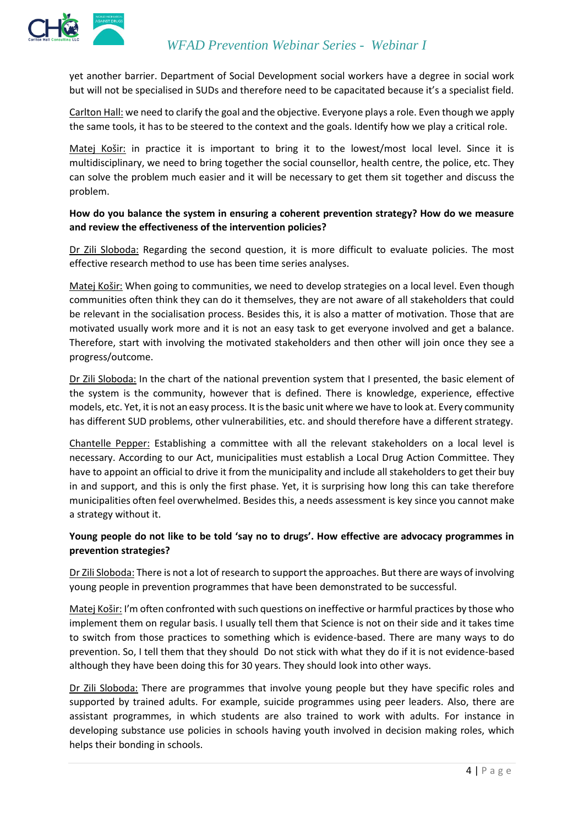

yet another barrier. Department of Social Development social workers have a degree in social work but will not be specialised in SUDs and therefore need to be capacitated because it's a specialist field.

Carlton Hall: we need to clarify the goal and the objective. Everyone plays a role. Even though we apply the same tools, it has to be steered to the context and the goals. Identify how we play a critical role.

Matej Košir: in practice it is important to bring it to the lowest/most local level. Since it is multidisciplinary, we need to bring together the social counsellor, health centre, the police, etc. They can solve the problem much easier and it will be necessary to get them sit together and discuss the problem.

## **How do you balance the system in ensuring a coherent prevention strategy? How do we measure and review the effectiveness of the intervention policies?**

Dr Zili Sloboda: Regarding the second question, it is more difficult to evaluate policies. The most effective research method to use has been time series analyses.

Matej Košir: When going to communities, we need to develop strategies on a local level. Even though communities often think they can do it themselves, they are not aware of all stakeholders that could be relevant in the socialisation process. Besides this, it is also a matter of motivation. Those that are motivated usually work more and it is not an easy task to get everyone involved and get a balance. Therefore, start with involving the motivated stakeholders and then other will join once they see a progress/outcome.

Dr Zili Sloboda: In the chart of the national prevention system that I presented, the basic element of the system is the community, however that is defined. There is knowledge, experience, effective models, etc. Yet, it is not an easy process. It is the basic unit where we have to look at. Every community has different SUD problems, other vulnerabilities, etc. and should therefore have a different strategy.

Chantelle Pepper: Establishing a committee with all the relevant stakeholders on a local level is necessary. According to our Act, municipalities must establish a Local Drug Action Committee. They have to appoint an official to drive it from the municipality and include all stakeholders to get their buy in and support, and this is only the first phase. Yet, it is surprising how long this can take therefore municipalities often feel overwhelmed. Besides this, a needs assessment is key since you cannot make a strategy without it.

## **Young people do not like to be told 'say no to drugs'. How effective are advocacy programmes in prevention strategies?**

Dr Zili Sloboda: There is not a lot of research to support the approaches. But there are ways of involving young people in prevention programmes that have been demonstrated to be successful.

Matej Košir: I'm often confronted with such questions on ineffective or harmful practices by those who implement them on regular basis. I usually tell them that Science is not on their side and it takes time to switch from those practices to something which is evidence-based. There are many ways to do prevention. So, I tell them that they should Do not stick with what they do if it is not evidence-based although they have been doing this for 30 years. They should look into other ways.

Dr Zili Sloboda: There are programmes that involve young people but they have specific roles and supported by trained adults. For example, suicide programmes using peer leaders. Also, there are assistant programmes, in which students are also trained to work with adults. For instance in developing substance use policies in schools having youth involved in decision making roles, which helps their bonding in schools.